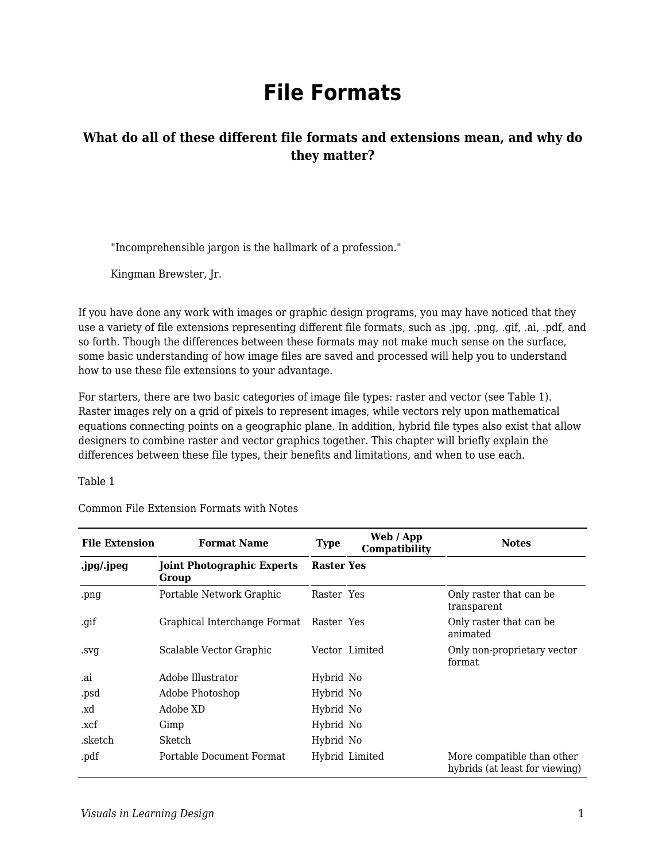# **File Formats**

#### **What do all of these different file formats and extensions mean, and why do they matter?**

"Incomprehensible jargon is the hallmark of a profession."

Kingman Brewster, Jr.

If you have done any work with images or graphic design programs, you may have noticed that they use a variety of file extensions representing different file formats, such as .jpg, .png, .gif, .ai, .pdf, and so forth. Though the differences between these formats may not make much sense on the surface, some basic understanding of how image files are saved and processed will help you to understand how to use these file extensions to your advantage.

For starters, there are two basic categories of image file types: raster and vector (see Table 1). Raster images rely on a grid of pixels to represent images, while vectors rely upon mathematical equations connecting points on a geographic plane. In addition, hybrid file types also exist that allow designers to combine raster and vector graphics together. This chapter will briefly explain the differences between these file types, their benefits and limitations, and when to use each.

Table 1

| <b>File Extension</b> | <b>Format Name</b>                         | <b>Type</b>       | Web / App<br>Compatibility | <b>Notes</b>                                                 |
|-----------------------|--------------------------------------------|-------------------|----------------------------|--------------------------------------------------------------|
| .jpg/.jpeg            | <b>Joint Photographic Experts</b><br>Group | <b>Raster Yes</b> |                            |                                                              |
| .png                  | Portable Network Graphic                   | Raster Yes        |                            | Only raster that can be.<br>transparent                      |
| .gif                  | Graphical Interchange Format               | Raster Yes        |                            | Only raster that can be<br>animated                          |
| .svg                  | Scalable Vector Graphic                    |                   | Vector Limited             | Only non-proprietary vector<br>format                        |
| .ai                   | Adobe Illustrator                          | Hybrid No         |                            |                                                              |
| .psd                  | Adobe Photoshop                            | Hybrid No         |                            |                                                              |
| .xd                   | Adobe XD                                   | Hybrid No         |                            |                                                              |
| .xcf                  | Gimp                                       | Hybrid No         |                            |                                                              |
| .sketch               | Sketch                                     | Hybrid No         |                            |                                                              |
| .pdf                  | Portable Document Format                   |                   | Hybrid Limited             | More compatible than other<br>hybrids (at least for viewing) |

Common File Extension Formats with Notes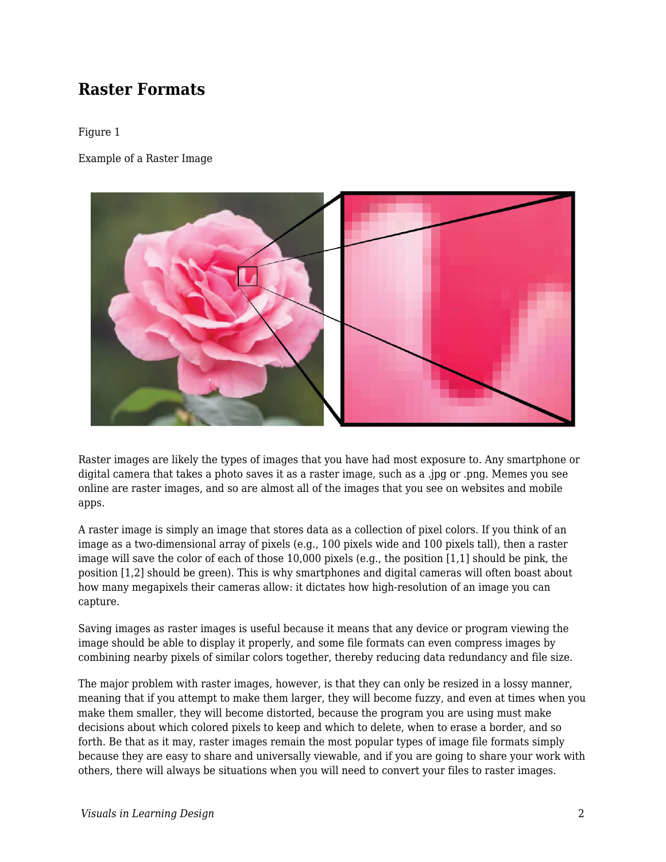#### **Raster Formats**

#### Figure 1

Example of a Raster Image



Raster images are likely the types of images that you have had most exposure to. Any smartphone or digital camera that takes a photo saves it as a raster image, such as a .jpg or .png. Memes you see online are raster images, and so are almost all of the images that you see on websites and mobile apps.

A raster image is simply an image that stores data as a collection of pixel colors. If you think of an image as a two-dimensional array of pixels (e.g., 100 pixels wide and 100 pixels tall), then a raster image will save the color of each of those 10,000 pixels (e.g., the position [1,1] should be pink, the position [1,2] should be green). This is why smartphones and digital cameras will often boast about how many megapixels their cameras allow: it dictates how high-resolution of an image you can capture.

Saving images as raster images is useful because it means that any device or program viewing the image should be able to display it properly, and some file formats can even compress images by combining nearby pixels of similar colors together, thereby reducing data redundancy and file size.

The major problem with raster images, however, is that they can only be resized in a lossy manner, meaning that if you attempt to make them larger, they will become fuzzy, and even at times when you make them smaller, they will become distorted, because the program you are using must make decisions about which colored pixels to keep and which to delete, when to erase a border, and so forth. Be that as it may, raster images remain the most popular types of image file formats simply because they are easy to share and universally viewable, and if you are going to share your work with others, there will always be situations when you will need to convert your files to raster images.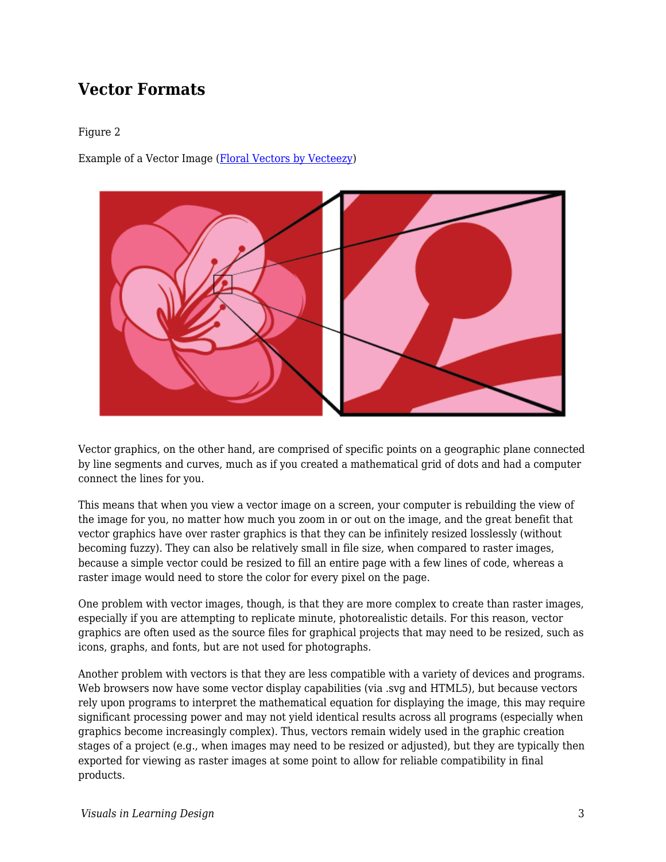### **Vector Formats**

#### Figure 2

Example of a Vector Image [\(Floral Vectors by Vecteezy](https://www.vecteezy.com/free-vector/floral))



Vector graphics, on the other hand, are comprised of specific points on a geographic plane connected by line segments and curves, much as if you created a mathematical grid of dots and had a computer connect the lines for you.

This means that when you view a vector image on a screen, your computer is rebuilding the view of the image for you, no matter how much you zoom in or out on the image, and the great benefit that vector graphics have over raster graphics is that they can be infinitely resized losslessly (without becoming fuzzy). They can also be relatively small in file size, when compared to raster images, because a simple vector could be resized to fill an entire page with a few lines of code, whereas a raster image would need to store the color for every pixel on the page.

One problem with vector images, though, is that they are more complex to create than raster images, especially if you are attempting to replicate minute, photorealistic details. For this reason, vector graphics are often used as the source files for graphical projects that may need to be resized, such as icons, graphs, and fonts, but are not used for photographs.

Another problem with vectors is that they are less compatible with a variety of devices and programs. Web browsers now have some vector display capabilities (via .svg and HTML5), but because vectors rely upon programs to interpret the mathematical equation for displaying the image, this may require significant processing power and may not yield identical results across all programs (especially when graphics become increasingly complex). Thus, vectors remain widely used in the graphic creation stages of a project (e.g., when images may need to be resized or adjusted), but they are typically then exported for viewing as raster images at some point to allow for reliable compatibility in final products.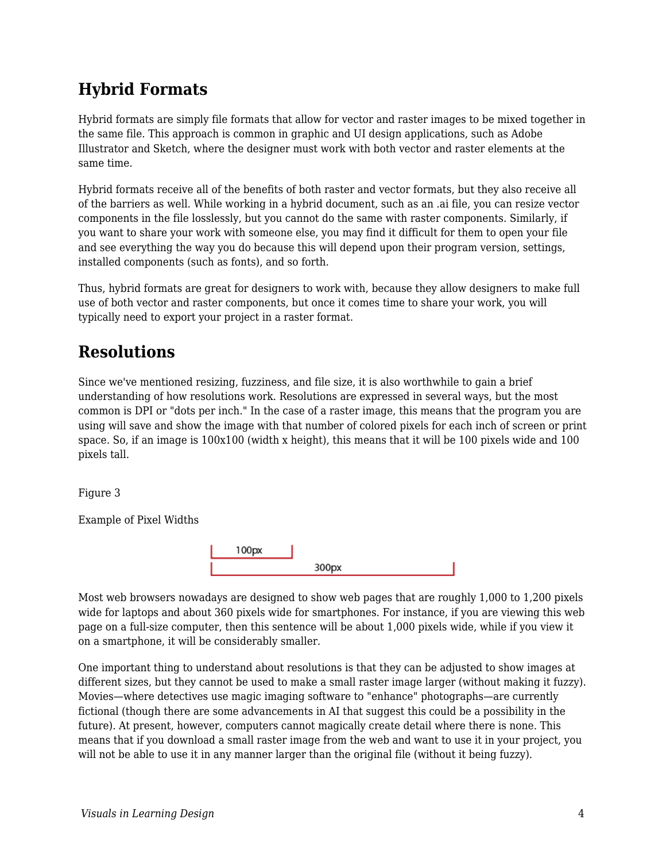## **Hybrid Formats**

Hybrid formats are simply file formats that allow for vector and raster images to be mixed together in the same file. This approach is common in graphic and UI design applications, such as Adobe Illustrator and Sketch, where the designer must work with both vector and raster elements at the same time.

Hybrid formats receive all of the benefits of both raster and vector formats, but they also receive all of the barriers as well. While working in a hybrid document, such as an .ai file, you can resize vector components in the file losslessly, but you cannot do the same with raster components. Similarly, if you want to share your work with someone else, you may find it difficult for them to open your file and see everything the way you do because this will depend upon their program version, settings, installed components (such as fonts), and so forth.

Thus, hybrid formats are great for designers to work with, because they allow designers to make full use of both vector and raster components, but once it comes time to share your work, you will typically need to export your project in a raster format.

### **Resolutions**

Since we've mentioned resizing, fuzziness, and file size, it is also worthwhile to gain a brief understanding of how resolutions work. Resolutions are expressed in several ways, but the most common is DPI or "dots per inch." In the case of a raster image, this means that the program you are using will save and show the image with that number of colored pixels for each inch of screen or print space. So, if an image is 100x100 (width x height), this means that it will be 100 pixels wide and 100 pixels tall.

Figure 3

Example of Pixel Widths



Most web browsers nowadays are designed to show web pages that are roughly 1,000 to 1,200 pixels wide for laptops and about 360 pixels wide for smartphones. For instance, if you are viewing this web page on a full-size computer, then this sentence will be about 1,000 pixels wide, while if you view it on a smartphone, it will be considerably smaller.

One important thing to understand about resolutions is that they can be adjusted to show images at different sizes, but they cannot be used to make a small raster image larger (without making it fuzzy). Movies—where detectives use magic imaging software to "enhance" photographs—are currently fictional (though there are some advancements in AI that suggest this could be a possibility in the future). At present, however, computers cannot magically create detail where there is none. This means that if you download a small raster image from the web and want to use it in your project, you will not be able to use it in any manner larger than the original file (without it being fuzzy).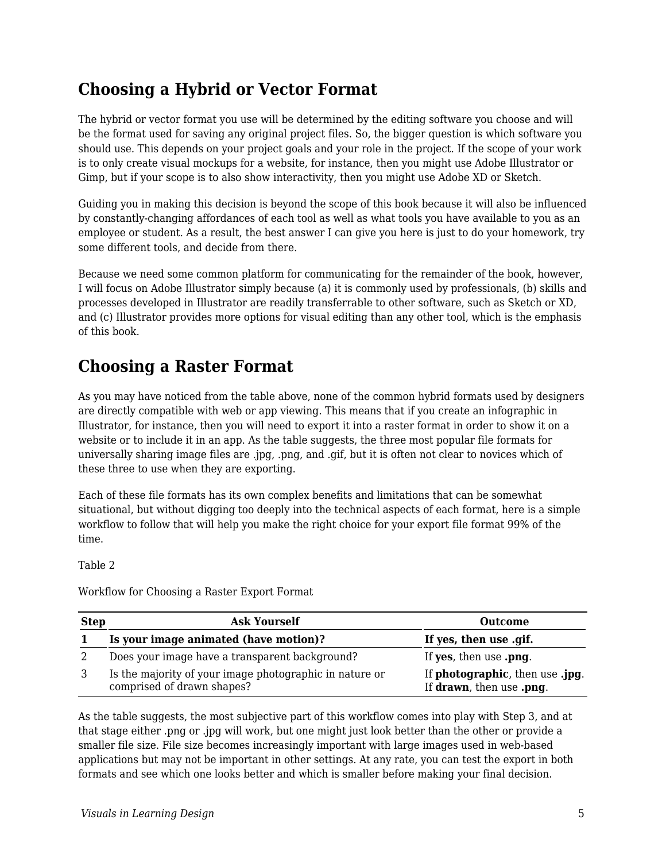### **Choosing a Hybrid or Vector Format**

The hybrid or vector format you use will be determined by the editing software you choose and will be the format used for saving any original project files. So, the bigger question is which software you should use. This depends on your project goals and your role in the project. If the scope of your work is to only create visual mockups for a website, for instance, then you might use Adobe Illustrator or Gimp, but if your scope is to also show interactivity, then you might use Adobe XD or Sketch.

Guiding you in making this decision is beyond the scope of this book because it will also be influenced by constantly-changing affordances of each tool as well as what tools you have available to you as an employee or student. As a result, the best answer I can give you here is just to do your homework, try some different tools, and decide from there.

Because we need some common platform for communicating for the remainder of the book, however, I will focus on Adobe Illustrator simply because (a) it is commonly used by professionals, (b) skills and processes developed in Illustrator are readily transferrable to other software, such as Sketch or XD, and (c) Illustrator provides more options for visual editing than any other tool, which is the emphasis of this book.

#### **Choosing a Raster Format**

As you may have noticed from the table above, none of the common hybrid formats used by designers are directly compatible with web or app viewing. This means that if you create an infographic in Illustrator, for instance, then you will need to export it into a raster format in order to show it on a website or to include it in an app. As the table suggests, the three most popular file formats for universally sharing image files are .jpg, .png, and .gif, but it is often not clear to novices which of these three to use when they are exporting.

Each of these file formats has its own complex benefits and limitations that can be somewhat situational, but without digging too deeply into the technical aspects of each format, here is a simple workflow to follow that will help you make the right choice for your export file format 99% of the time.

Table 2

Workflow for Choosing a Raster Export Format

| <b>Step</b> | <b>Ask Yourself</b>                                                                   | <b>Outcome</b>                                              |
|-------------|---------------------------------------------------------------------------------------|-------------------------------------------------------------|
|             | Is your image animated (have motion)?                                                 | If yes, then use .gif.                                      |
|             | Does your image have a transparent background?                                        | If yes, then use .png.                                      |
|             | Is the majority of your image photographic in nature or<br>comprised of drawn shapes? | If photographic, then use .jpg.<br>If drawn, then use .png. |

As the table suggests, the most subjective part of this workflow comes into play with Step 3, and at that stage either .png or .jpg will work, but one might just look better than the other or provide a smaller file size. File size becomes increasingly important with large images used in web-based applications but may not be important in other settings. At any rate, you can test the export in both formats and see which one looks better and which is smaller before making your final decision.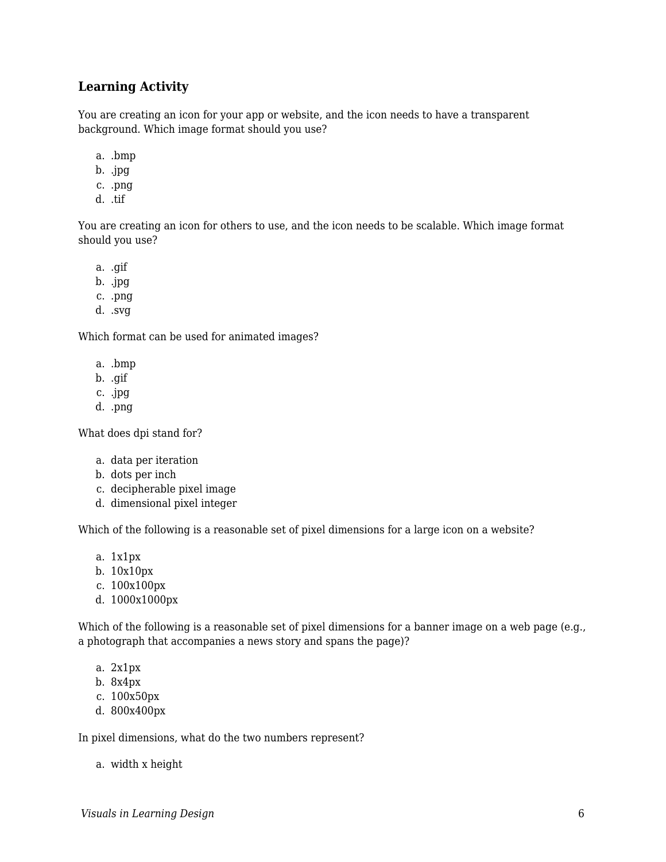#### **Learning Activity**

You are creating an icon for your app or website, and the icon needs to have a transparent background. Which image format should you use?

- a. .bmp
- b. .jpg
- c. .png
- d. .tif

You are creating an icon for others to use, and the icon needs to be scalable. Which image format should you use?

- a. .gif
- b. .jpg
- c. .png
- d. .svg

Which format can be used for animated images?

- a. .bmp
- b. .gif
- c. .jpg
- d. .png
- What does dpi stand for?
	- a. data per iteration
	- b. dots per inch
	- c. decipherable pixel image
	- d. dimensional pixel integer

Which of the following is a reasonable set of pixel dimensions for a large icon on a website?

- a. 1x1px
- b. 10x10px
- c. 100x100px
- d. 1000x1000px

Which of the following is a reasonable set of pixel dimensions for a banner image on a web page (e.g., a photograph that accompanies a news story and spans the page)?

- a. 2x1px
- b. 8x4px
- c. 100x50px
- d. 800x400px

In pixel dimensions, what do the two numbers represent?

a. width x height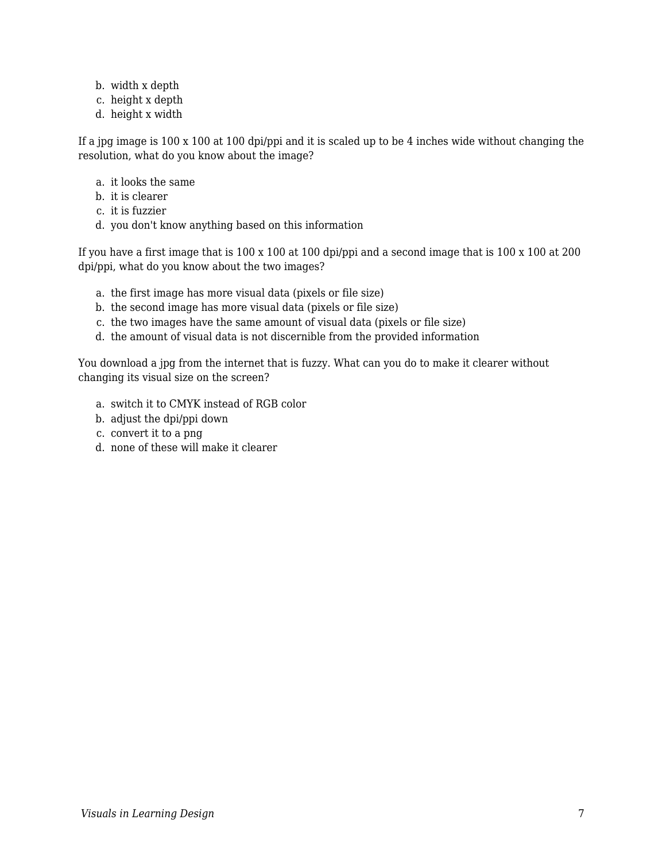- b. width x depth
- c. height x depth
- d. height x width

If a jpg image is 100 x 100 at 100 dpi/ppi and it is scaled up to be 4 inches wide without changing the resolution, what do you know about the image?

- a. it looks the same
- b. it is clearer
- c. it is fuzzier
- d. you don't know anything based on this information

If you have a first image that is 100 x 100 at 100 dpi/ppi and a second image that is 100 x 100 at 200 dpi/ppi, what do you know about the two images?

- a. the first image has more visual data (pixels or file size)
- b. the second image has more visual data (pixels or file size)
- c. the two images have the same amount of visual data (pixels or file size)
- d. the amount of visual data is not discernible from the provided information

You download a jpg from the internet that is fuzzy. What can you do to make it clearer without changing its visual size on the screen?

- a. switch it to CMYK instead of RGB color
- b. adjust the dpi/ppi down
- c. convert it to a png
- d. none of these will make it clearer